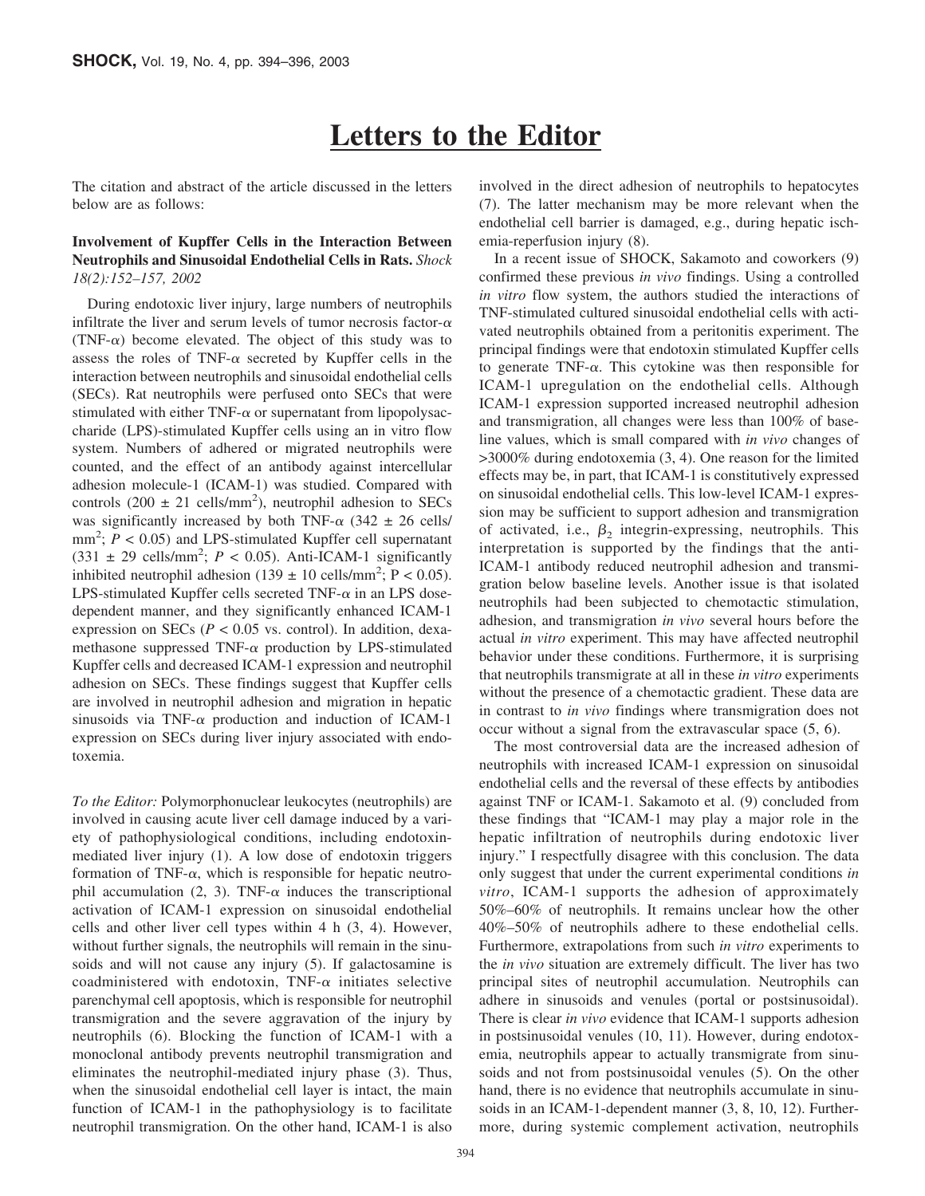# **Letters to the Editor**

The citation and abstract of the article discussed in the letters below are as follows:

## **Involvement of Kupffer Cells in the Interaction Between Neutrophils and Sinusoidal Endothelial Cells in Rats.** *Shock 18(2):152–157, 2002*

During endotoxic liver injury, large numbers of neutrophils infiltrate the liver and serum levels of tumor necrosis factor- $\alpha$ (TNF- $\alpha$ ) become elevated. The object of this study was to assess the roles of TNF- $\alpha$  secreted by Kupffer cells in the interaction between neutrophils and sinusoidal endothelial cells (SECs). Rat neutrophils were perfused onto SECs that were stimulated with either TNF- $\alpha$  or supernatant from lipopolysaccharide (LPS)-stimulated Kupffer cells using an in vitro flow system. Numbers of adhered or migrated neutrophils were counted, and the effect of an antibody against intercellular adhesion molecule-1 (ICAM-1) was studied. Compared with controls  $(200 \pm 21 \text{ cells/mm}^2)$ , neutrophil adhesion to SECs was significantly increased by both TNF- $\alpha$  (342  $\pm$  26 cells/  $mm<sup>2</sup>$ ;  $P < 0.05$ ) and LPS-stimulated Kupffer cell supernatant  $(331 \pm 29 \text{ cells/mm}^2$ ;  $P < 0.05$ ). Anti-ICAM-1 significantly inhibited neutrophil adhesion  $(139 \pm 10 \text{ cells/mm}^2$ ; P < 0.05). LPS-stimulated Kupffer cells secreted TNF- $\alpha$  in an LPS dosedependent manner, and they significantly enhanced ICAM-1 expression on SECs ( $P < 0.05$  vs. control). In addition, dexamethasone suppressed TNF- $\alpha$  production by LPS-stimulated Kupffer cells and decreased ICAM-1 expression and neutrophil adhesion on SECs. These findings suggest that Kupffer cells are involved in neutrophil adhesion and migration in hepatic sinusoids via TNF- $\alpha$  production and induction of ICAM-1 expression on SECs during liver injury associated with endotoxemia.

*To the Editor:* Polymorphonuclear leukocytes (neutrophils) are involved in causing acute liver cell damage induced by a variety of pathophysiological conditions, including endotoxinmediated liver injury (1). A low dose of endotoxin triggers formation of TNF- $\alpha$ , which is responsible for hepatic neutrophil accumulation (2, 3). TNF- $\alpha$  induces the transcriptional activation of ICAM-1 expression on sinusoidal endothelial cells and other liver cell types within 4 h (3, 4). However, without further signals, the neutrophils will remain in the sinusoids and will not cause any injury  $(5)$ . If galactosamine is coadministered with endotoxin,  $TNF-\alpha$  initiates selective parenchymal cell apoptosis, which is responsible for neutrophil transmigration and the severe aggravation of the injury by neutrophils (6). Blocking the function of ICAM-1 with a monoclonal antibody prevents neutrophil transmigration and eliminates the neutrophil-mediated injury phase (3). Thus, when the sinusoidal endothelial cell layer is intact, the main function of ICAM-1 in the pathophysiology is to facilitate neutrophil transmigration. On the other hand, ICAM-1 is also involved in the direct adhesion of neutrophils to hepatocytes (7). The latter mechanism may be more relevant when the endothelial cell barrier is damaged, e.g., during hepatic ischemia-reperfusion injury (8).

In a recent issue of SHOCK, Sakamoto and coworkers (9) confirmed these previous *in vivo* findings. Using a controlled *in vitro* flow system, the authors studied the interactions of TNF-stimulated cultured sinusoidal endothelial cells with activated neutrophils obtained from a peritonitis experiment. The principal findings were that endotoxin stimulated Kupffer cells to generate TNF- $\alpha$ . This cytokine was then responsible for ICAM-1 upregulation on the endothelial cells. Although ICAM-1 expression supported increased neutrophil adhesion and transmigration, all changes were less than 100% of baseline values, which is small compared with *in vivo* changes of >3000% during endotoxemia (3, 4). One reason for the limited effects may be, in part, that ICAM-1 is constitutively expressed on sinusoidal endothelial cells. This low-level ICAM-1 expression may be sufficient to support adhesion and transmigration of activated, i.e.,  $\beta_2$  integrin-expressing, neutrophils. This interpretation is supported by the findings that the anti-ICAM-1 antibody reduced neutrophil adhesion and transmigration below baseline levels. Another issue is that isolated neutrophils had been subjected to chemotactic stimulation, adhesion, and transmigration *in vivo* several hours before the actual *in vitro* experiment. This may have affected neutrophil behavior under these conditions. Furthermore, it is surprising that neutrophils transmigrate at all in these *in vitro* experiments without the presence of a chemotactic gradient. These data are in contrast to *in vivo* findings where transmigration does not occur without a signal from the extravascular space (5, 6).

The most controversial data are the increased adhesion of neutrophils with increased ICAM-1 expression on sinusoidal endothelial cells and the reversal of these effects by antibodies against TNF or ICAM-1. Sakamoto et al. (9) concluded from these findings that "ICAM-1 may play a major role in the hepatic infiltration of neutrophils during endotoxic liver injury." I respectfully disagree with this conclusion. The data only suggest that under the current experimental conditions *in vitro*, ICAM-1 supports the adhesion of approximately 50%–60% of neutrophils. It remains unclear how the other 40%–50% of neutrophils adhere to these endothelial cells. Furthermore, extrapolations from such *in vitro* experiments to the *in vivo* situation are extremely difficult. The liver has two principal sites of neutrophil accumulation. Neutrophils can adhere in sinusoids and venules (portal or postsinusoidal). There is clear *in vivo* evidence that ICAM-1 supports adhesion in postsinusoidal venules (10, 11). However, during endotoxemia, neutrophils appear to actually transmigrate from sinusoids and not from postsinusoidal venules (5). On the other hand, there is no evidence that neutrophils accumulate in sinusoids in an ICAM-1-dependent manner (3, 8, 10, 12). Furthermore, during systemic complement activation, neutrophils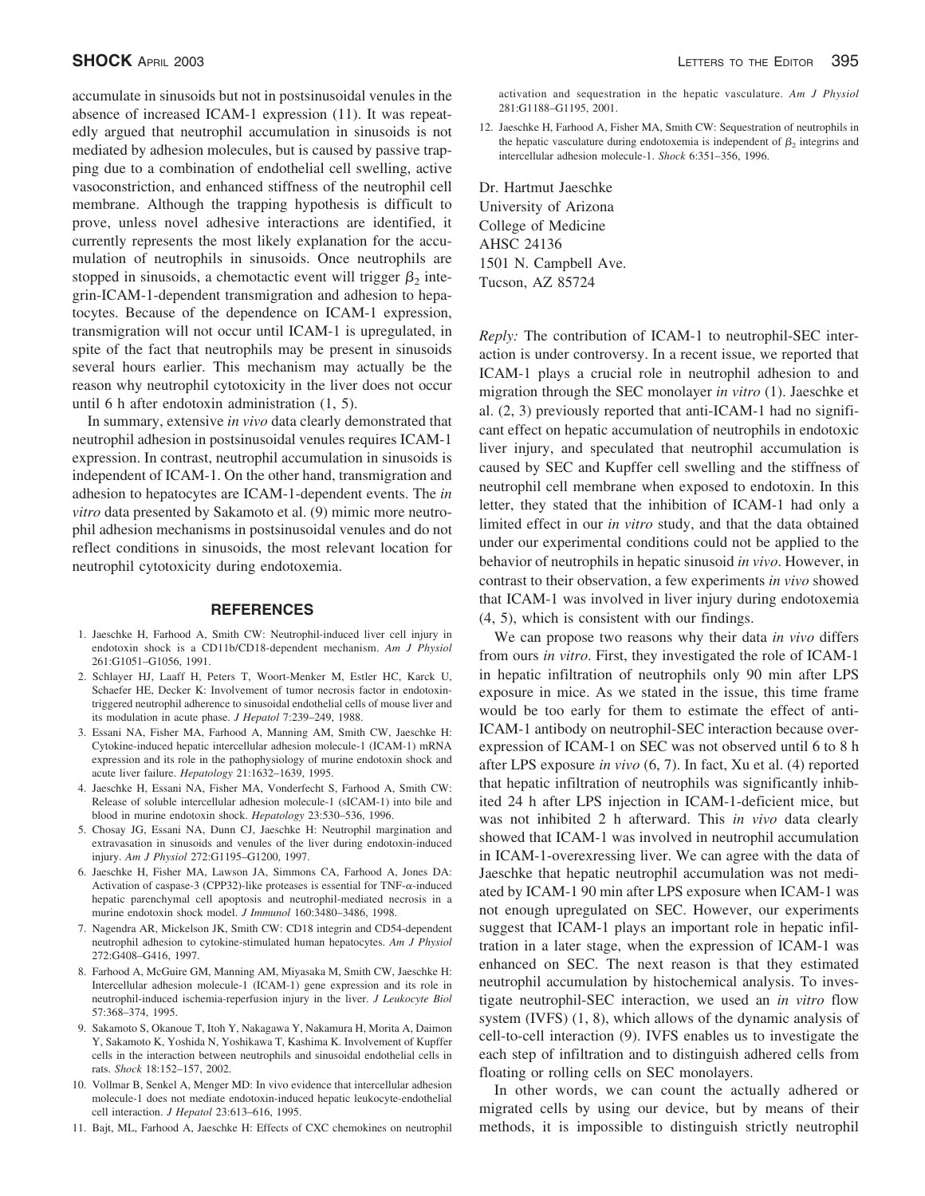accumulate in sinusoids but not in postsinusoidal venules in the absence of increased ICAM-1 expression (11). It was repeatedly argued that neutrophil accumulation in sinusoids is not mediated by adhesion molecules, but is caused by passive trapping due to a combination of endothelial cell swelling, active vasoconstriction, and enhanced stiffness of the neutrophil cell membrane. Although the trapping hypothesis is difficult to prove, unless novel adhesive interactions are identified, it currently represents the most likely explanation for the accumulation of neutrophils in sinusoids. Once neutrophils are stopped in sinusoids, a chemotactic event will trigger  $\beta_2$  integrin-ICAM-1-dependent transmigration and adhesion to hepatocytes. Because of the dependence on ICAM-1 expression, transmigration will not occur until ICAM-1 is upregulated, in spite of the fact that neutrophils may be present in sinusoids several hours earlier. This mechanism may actually be the reason why neutrophil cytotoxicity in the liver does not occur until 6 h after endotoxin administration (1, 5).

In summary, extensive *in vivo* data clearly demonstrated that neutrophil adhesion in postsinusoidal venules requires ICAM-1 expression. In contrast, neutrophil accumulation in sinusoids is independent of ICAM-1. On the other hand, transmigration and adhesion to hepatocytes are ICAM-1-dependent events. The *in vitro* data presented by Sakamoto et al. (9) mimic more neutrophil adhesion mechanisms in postsinusoidal venules and do not reflect conditions in sinusoids, the most relevant location for neutrophil cytotoxicity during endotoxemia.

### **REFERENCES**

- 1. Jaeschke H, Farhood A, Smith CW: Neutrophil-induced liver cell injury in endotoxin shock is a CD11b/CD18-dependent mechanism. *Am J Physiol* 261:G1051–G1056, 1991.
- 2. Schlayer HJ, Laaff H, Peters T, Woort-Menker M, Estler HC, Karck U, Schaefer HE, Decker K: Involvement of tumor necrosis factor in endotoxintriggered neutrophil adherence to sinusoidal endothelial cells of mouse liver and its modulation in acute phase. *J Hepatol* 7:239–249, 1988.
- 3. Essani NA, Fisher MA, Farhood A, Manning AM, Smith CW, Jaeschke H: Cytokine-induced hepatic intercellular adhesion molecule-1 (ICAM-1) mRNA expression and its role in the pathophysiology of murine endotoxin shock and acute liver failure. *Hepatology* 21:1632–1639, 1995.
- 4. Jaeschke H, Essani NA, Fisher MA, Vonderfecht S, Farhood A, Smith CW: Release of soluble intercellular adhesion molecule-1 (sICAM-1) into bile and blood in murine endotoxin shock. *Hepatology* 23:530–536, 1996.
- 5. Chosay JG, Essani NA, Dunn CJ, Jaeschke H: Neutrophil margination and extravasation in sinusoids and venules of the liver during endotoxin-induced injury. *Am J Physiol* 272:G1195–G1200, 1997.
- 6. Jaeschke H, Fisher MA, Lawson JA, Simmons CA, Farhood A, Jones DA: Activation of caspase-3 (CPP32)-like proteases is essential for TNF- $\alpha$ -induced hepatic parenchymal cell apoptosis and neutrophil-mediated necrosis in a murine endotoxin shock model. *J Immunol* 160:3480–3486, 1998.
- 7. Nagendra AR, Mickelson JK, Smith CW: CD18 integrin and CD54-dependent neutrophil adhesion to cytokine-stimulated human hepatocytes. *Am J Physiol* 272:G408–G416, 1997.
- 8. Farhood A, McGuire GM, Manning AM, Miyasaka M, Smith CW, Jaeschke H: Intercellular adhesion molecule-1 (ICAM-1) gene expression and its role in neutrophil-induced ischemia-reperfusion injury in the liver. *J Leukocyte Biol* 57:368–374, 1995.
- 9. Sakamoto S, Okanoue T, Itoh Y, Nakagawa Y, Nakamura H, Morita A, Daimon Y, Sakamoto K, Yoshida N, Yoshikawa T, Kashima K. Involvement of Kupffer cells in the interaction between neutrophils and sinusoidal endothelial cells in rats. *Shock* 18:152–157, 2002.
- 10. Vollmar B, Senkel A, Menger MD: In vivo evidence that intercellular adhesion molecule-1 does not mediate endotoxin-induced hepatic leukocyte-endothelial cell interaction. *J Hepatol* 23:613–616, 1995.
- 11. Bajt, ML, Farhood A, Jaeschke H: Effects of CXC chemokines on neutrophil

activation and sequestration in the hepatic vasculature. *Am J Physiol* 281:G1188–G1195, 2001.

12. Jaeschke H, Farhood A, Fisher MA, Smith CW: Sequestration of neutrophils in the hepatic vasculature during endotoxemia is independent of  $\beta_2$  integrins and intercellular adhesion molecule-1. *Shock* 6:351–356, 1996.

Dr. Hartmut Jaeschke University of Arizona College of Medicine AHSC 24136 1501 N. Campbell Ave. Tucson, AZ 85724

*Reply:* The contribution of ICAM-1 to neutrophil-SEC interaction is under controversy. In a recent issue, we reported that ICAM-1 plays a crucial role in neutrophil adhesion to and migration through the SEC monolayer *in vitro* (1). Jaeschke et al. (2, 3) previously reported that anti-ICAM-1 had no significant effect on hepatic accumulation of neutrophils in endotoxic liver injury, and speculated that neutrophil accumulation is caused by SEC and Kupffer cell swelling and the stiffness of neutrophil cell membrane when exposed to endotoxin. In this letter, they stated that the inhibition of ICAM-1 had only a limited effect in our *in vitro* study, and that the data obtained under our experimental conditions could not be applied to the behavior of neutrophils in hepatic sinusoid *in vivo*. However, in contrast to their observation, a few experiments *in vivo* showed that ICAM-1 was involved in liver injury during endotoxemia (4, 5), which is consistent with our findings.

We can propose two reasons why their data *in vivo* differs from ours *in vitro*. First, they investigated the role of ICAM-1 in hepatic infiltration of neutrophils only 90 min after LPS exposure in mice. As we stated in the issue, this time frame would be too early for them to estimate the effect of anti-ICAM-1 antibody on neutrophil-SEC interaction because overexpression of ICAM-1 on SEC was not observed until 6 to 8 h after LPS exposure *in vivo* (6, 7). In fact, Xu et al. (4) reported that hepatic infiltration of neutrophils was significantly inhibited 24 h after LPS injection in ICAM-1-deficient mice, but was not inhibited 2 h afterward. This *in vivo* data clearly showed that ICAM-1 was involved in neutrophil accumulation in ICAM-1-overexressing liver. We can agree with the data of Jaeschke that hepatic neutrophil accumulation was not mediated by ICAM-1 90 min after LPS exposure when ICAM-1 was not enough upregulated on SEC. However, our experiments suggest that ICAM-1 plays an important role in hepatic infiltration in a later stage, when the expression of ICAM-1 was enhanced on SEC. The next reason is that they estimated neutrophil accumulation by histochemical analysis. To investigate neutrophil-SEC interaction, we used an *in vitro* flow system (IVFS) (1, 8), which allows of the dynamic analysis of cell-to-cell interaction (9). IVFS enables us to investigate the each step of infiltration and to distinguish adhered cells from floating or rolling cells on SEC monolayers.

In other words, we can count the actually adhered or migrated cells by using our device, but by means of their methods, it is impossible to distinguish strictly neutrophil